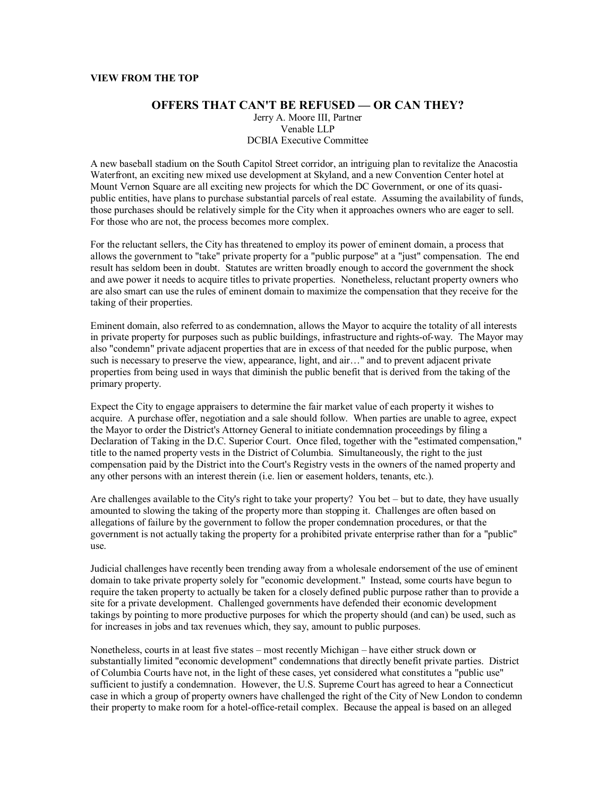## **VIEW FROM THE TOP**

## **OFFERS THAT CAN'T BE REFUSED — OR CAN THEY?**

Jerry A. Moore III, Partner Venable LLP DCBIA Executive Committee

A new baseball stadium on the South Capitol Street corridor, an intriguing plan to revitalize the Anacostia Waterfront, an exciting new mixed use development at Skyland, and a new Convention Center hotel at Mount Vernon Square are all exciting new projects for which the DC Government, or one of its quasipublic entities, have plans to purchase substantial parcels of real estate. Assuming the availability of funds, those purchases should be relatively simple for the City when it approaches owners who are eager to sell. For those who are not, the process becomes more complex.

For the reluctant sellers, the City has threatened to employ its power of eminent domain, a process that allows the government to "take" private property for a "public purpose" at a "just" compensation. The end result has seldom been in doubt. Statutes are written broadly enough to accord the government the shock and awe power it needs to acquire titles to private properties. Nonetheless, reluctant property owners who are also smart can use the rules of eminent domain to maximize the compensation that they receive for the taking of their properties.

Eminent domain, also referred to as condemnation, allows the Mayor to acquire the totality of all interests in private property for purposes such as public buildings, infrastructure and rights-of-way. The Mayor may also "condemn" private adjacent properties that are in excess of that needed for the public purpose, when such is necessary to preserve the view, appearance, light, and air..." and to prevent adjacent private properties from being used in ways that diminish the public benefit that is derived from the taking of the primary property.

Expect the City to engage appraisers to determine the fair market value of each property it wishes to acquire. A purchase offer, negotiation and a sale should follow. When parties are unable to agree, expect the Mayor to order the District's Attorney General to initiate condemnation proceedings by filing a Declaration of Taking in the D.C. Superior Court. Once filed, together with the "estimated compensation," title to the named property vests in the District of Columbia. Simultaneously, the right to the just compensation paid by the District into the Court's Registry vests in the owners of the named property and any other persons with an interest therein (i.e. lien or easement holders, tenants, etc.).

Are challenges available to the City's right to take your property? You bet  $-$  but to date, they have usually amounted to slowing the taking of the property more than stopping it. Challenges are often based on allegations of failure by the government to follow the proper condemnation procedures, or that the government is not actually taking the property for a prohibited private enterprise rather than for a "public" use.

Judicial challenges have recently been trending away from a wholesale endorsement of the use of eminent domain to take private property solely for "economic development." Instead, some courts have begun to require the taken property to actually be taken for a closely defined public purpose rather than to provide a site for a private development. Challenged governments have defended their economic development takings by pointing to more productive purposes for which the property should (and can) be used, such as for increases in jobs and tax revenues which, they say, amount to public purposes.

Nonetheless, courts in at least five states – most recently Michigan – have either struck down or substantially limited "economic development" condemnations that directly benefit private parties. District of Columbia Courts have not, in the light of these cases, yet considered what constitutes a "public use" sufficient to justify a condemnation. However, the U.S. Supreme Court has agreed to hear a Connecticut case in which a group of property owners have challenged the right of the City of New London to condemn their property to make room for a hotel-office-retail complex. Because the appeal is based on an alleged